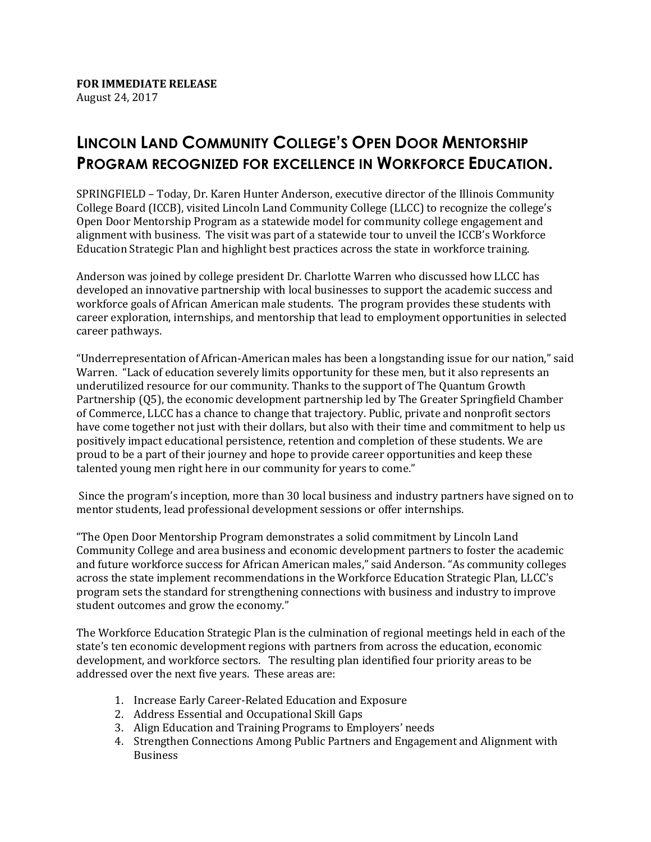## **LINCOLN LAND COMMUNITY COLLEGE'S OPEN DOOR MENTORSHIP PROGRAM RECOGNIZED FOR EXCELLENCE IN WORKFORCE EDUCATION.**

SPRINGFIELD – Today, Dr. Karen Hunter Anderson, executive director of the Illinois Community College Board (ICCB), visited Lincoln Land Community College (LLCC) to recognize the college's Open Door Mentorship Program as a statewide model for community college engagement and alignment with business. The visit was part of a statewide tour to unveil the ICCB's Workforce Education Strategic Plan and highlight best practices across the state in workforce training.

Anderson was joined by college president Dr. Charlotte Warren who discussed how LLCC has developed an innovative partnership with local businesses to support the academic success and workforce goals of African American male students. The program provides these students with career exploration, internships, and mentorship that lead to employment opportunities in selected career pathways.

"Underrepresentation of African-American males has been a longstanding issue for our nation," said Warren. "Lack of education severely limits opportunity for these men, but it also represents an underutilized resource for our community. Thanks to the support of The Quantum Growth Partnership (Q5), the economic development partnership led by The Greater Springfield Chamber of Commerce, LLCC has a chance to change that trajectory. Public, private and nonprofit sectors have come together not just with their dollars, but also with their time and commitment to help us positively impact educational persistence, retention and completion of these students. We are proud to be a part of their journey and hope to provide career opportunities and keep these talented young men right here in our community for years to come."

Since the program's inception, more than 30 local business and industry partners have signed on to mentor students, lead professional development sessions or offer internships.

"The Open Door Mentorship Program demonstrates a solid commitment by Lincoln Land Community College and area business and economic development partners to foster the academic and future workforce success for African American males," said Anderson. "As community colleges across the state implement recommendations in the Workforce Education Strategic Plan, LLCC's program sets the standard for strengthening connections with business and industry to improve student outcomes and grow the economy."

The Workforce Education Strategic Plan is the culmination of regional meetings held in each of the state's ten economic development regions with partners from across the education, economic development, and workforce sectors. The resulting plan identified four priority areas to be addressed over the next five years. These areas are:

- 1. Increase Early Career-Related Education and Exposure
- 2. Address Essential and Occupational Skill Gaps
- 3. Align Education and Training Programs to Employers' needs
- 4. Strengthen Connections Among Public Partners and Engagement and Alignment with Business